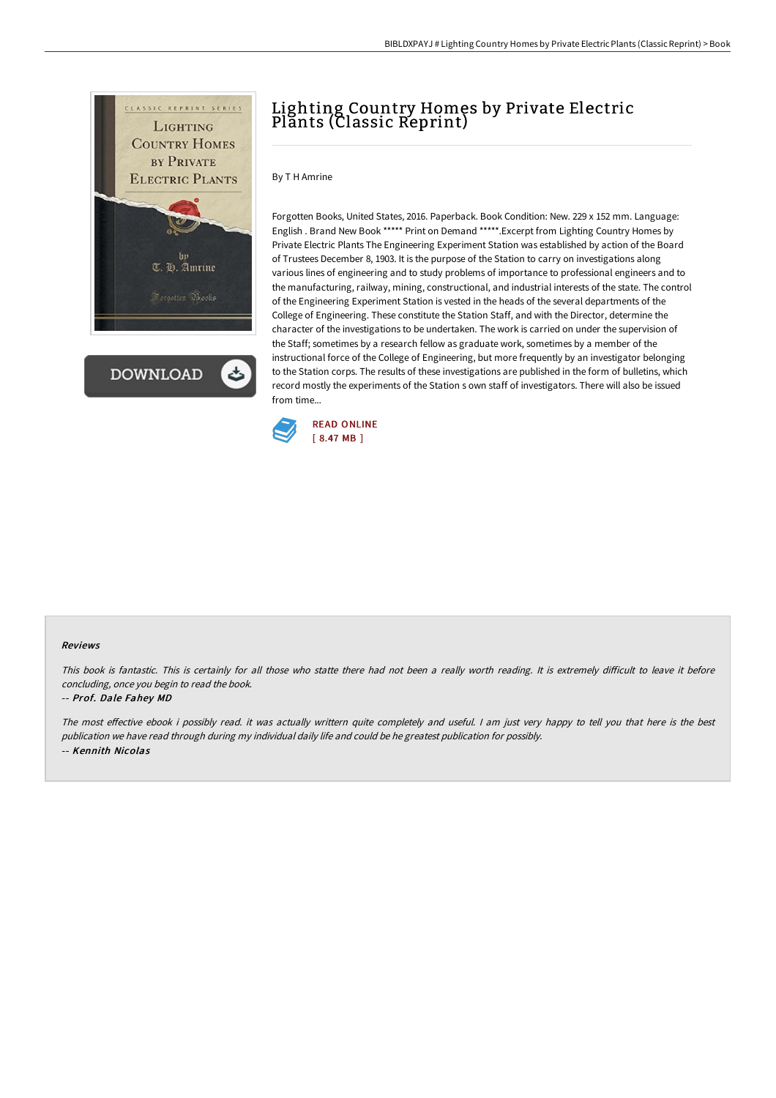

**DOWNLOAD** 

## Lighting Country Homes by Private Electric Plants (Classic Reprint)

By T H Amrine

Forgotten Books, United States, 2016. Paperback. Book Condition: New. 229 x 152 mm. Language: English . Brand New Book \*\*\*\*\* Print on Demand \*\*\*\*\*.Excerpt from Lighting Country Homes by Private Electric Plants The Engineering Experiment Station was established by action of the Board of Trustees December 8, 1903. It is the purpose of the Station to carry on investigations along various lines of engineering and to study problems of importance to professional engineers and to the manufacturing, railway, mining, constructional, and industrial interests of the state. The control of the Engineering Experiment Station is vested in the heads of the several departments of the College of Engineering. These constitute the Station Staff, and with the Director, determine the character of the investigations to be undertaken. The work is carried on under the supervision of the Staff; sometimes by a research fellow as graduate work, sometimes by a member of the instructional force of the College of Engineering, but more frequently by an investigator belonging to the Station corps. The results of these investigations are published in the form of bulletins, which record mostly the experiments of the Station s own staff of investigators. There will also be issued from time...



## Reviews

This book is fantastic. This is certainly for all those who statte there had not been a really worth reading. It is extremely difficult to leave it before concluding, once you begin to read the book.

## -- Prof. Dale Fahey MD

The most effective ebook i possibly read. it was actually writtern quite completely and useful. I am just very happy to tell you that here is the best publication we have read through during my individual daily life and could be he greatest publication for possibly. -- Kennith Nicolas